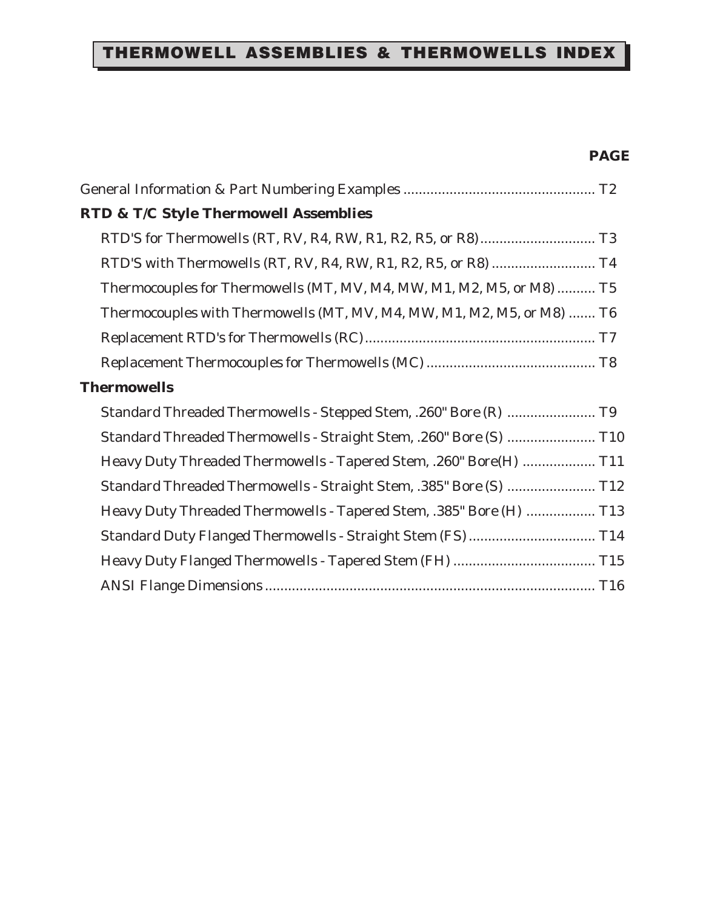## THERMOWELL ASSEMBLIES & THERMOWELLS INDEX

#### **PAGE**

| <b>RTD &amp; T/C Style Thermowell Assemblies</b>                       |
|------------------------------------------------------------------------|
|                                                                        |
| RTD'S with Thermowells (RT, RV, R4, RW, R1, R2, R5, or R8)  T4         |
| Thermocouples for Thermowells (MT, MV, M4, MW, M1, M2, M5, or M8)  T5  |
| Thermocouples with Thermowells (MT, MV, M4, MW, M1, M2, M5, or M8)  T6 |
|                                                                        |
|                                                                        |
| <b>Thermowells</b>                                                     |
| Standard Threaded Thermowells - Stepped Stem, .260" Bore (R)  T9       |
| Standard Threaded Thermowells - Straight Stem, .260" Bore (S)  T10     |
| Heavy Duty Threaded Thermowells - Tapered Stem, .260" Bore(H)  T11     |
| Standard Threaded Thermowells - Straight Stem, .385" Bore (S)  T12     |
| Heavy Duty Threaded Thermowells - Tapered Stem, .385" Bore (H)  T13    |
| Standard Duty Flanged Thermowells - Straight Stem (FS)  T14            |
|                                                                        |
|                                                                        |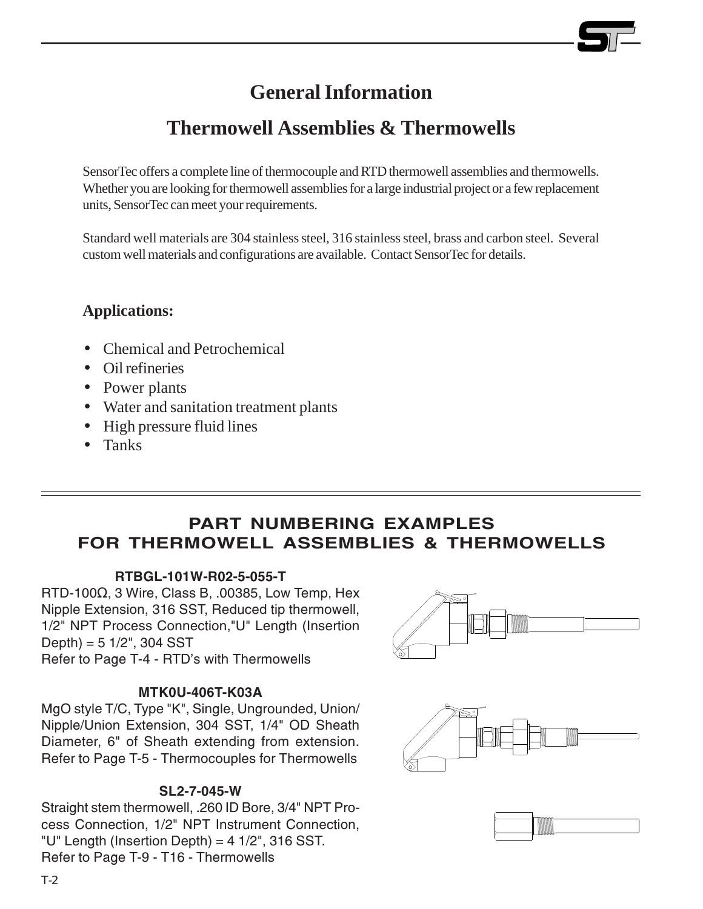## **General Information**

## **Thermowell Assemblies & Thermowells**

SensorTec offers a complete line of thermocouple and RTD thermowell assemblies and thermowells. Whether you are looking for thermowell assemblies for a large industrial project or a few replacement units, SensorTec can meet your requirements.

Standard well materials are 304 stainless steel, 316 stainless steel, brass and carbon steel. Several custom well materials and configurations are available. Contact SensorTec for details.

#### **Applications:**

- Chemical and Petrochemical
- Oil refineries
- Power plants
- Water and sanitation treatment plants
- High pressure fluid lines
- Tanks

#### PART NUMBERING EXAMPLES FOR THERMOWELL ASSEMBLIES & THERMOWELLS

#### RTBGL-101W-R02-5-055-T

 $RTD-100\Omega$ , 3 Wire, Class B, .00385, Low Temp, Hex Nipple Extension, 316 SST, Reduced tip thermowell, 1/2" NPT Process Connection,"U" Length (Insertion  $Depth$ ) = 5 1/2", 304 SST Refer to Page T-4 - RTD's with Thermowells

#### MTK0U-406T-K03A

MgO style T/C, Type "K", Single, Ungrounded, Union/ Nipple/Union Extension, 304 SST, 1/4" OD Sheath Diameter, 6" of Sheath extending from extension. Refer to Page T-5 - Thermocouples for Thermowells

#### SL2-7-045-W

Straight stem thermowell, .260 ID Bore, 3/4" NPT Process Connection, 1/2" NPT Instrument Connection, "U" Length (Insertion Depth) =  $4 \frac{1}{2}$ ", 316 SST. Refer to Page T-9 - T16 - Thermowells

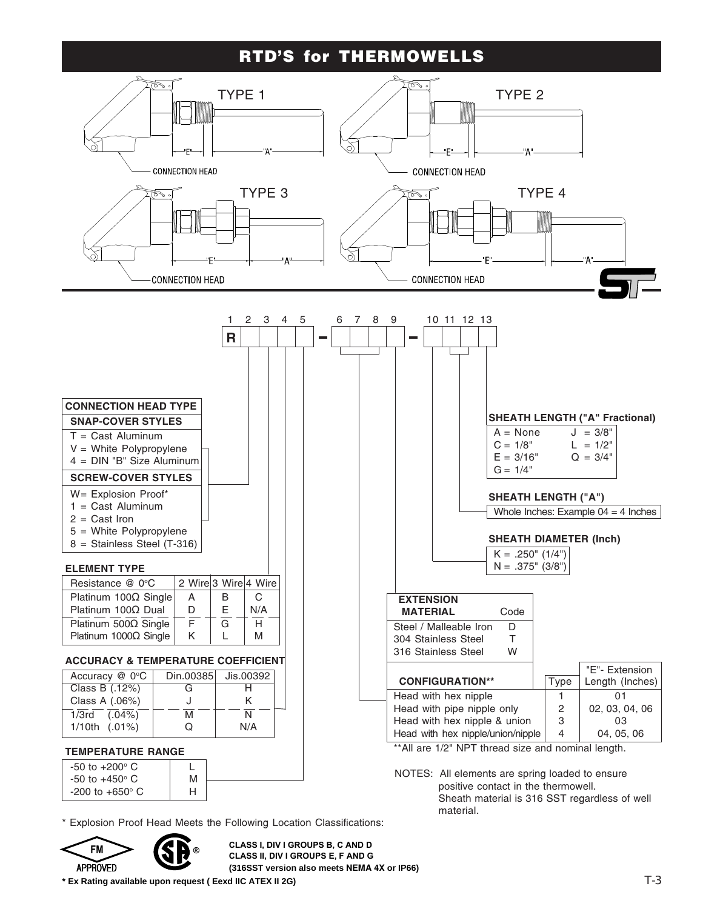#### RTD'S for THERMOWELLS



Explosion Proof Head Meets the Following Location Classifications:



-200 to +650° C | H

FM
THE CLASS I, DIV I GROUPS B, C AND D<br>CLASS II, DIV I GROUPS E, F AND G<br>CLASS II, DIV I GROUPS E, F AND G CLASS I, DIV I GROUPS B, C AND D **(316SST version also meets NEMA 4X or IP66)**

**\* Ex Rating available upon request ( Eexd IIC ATEX II 2G)**

®

positive contact in the thermowell.

material.

Sheath material is 316 SST regardless of well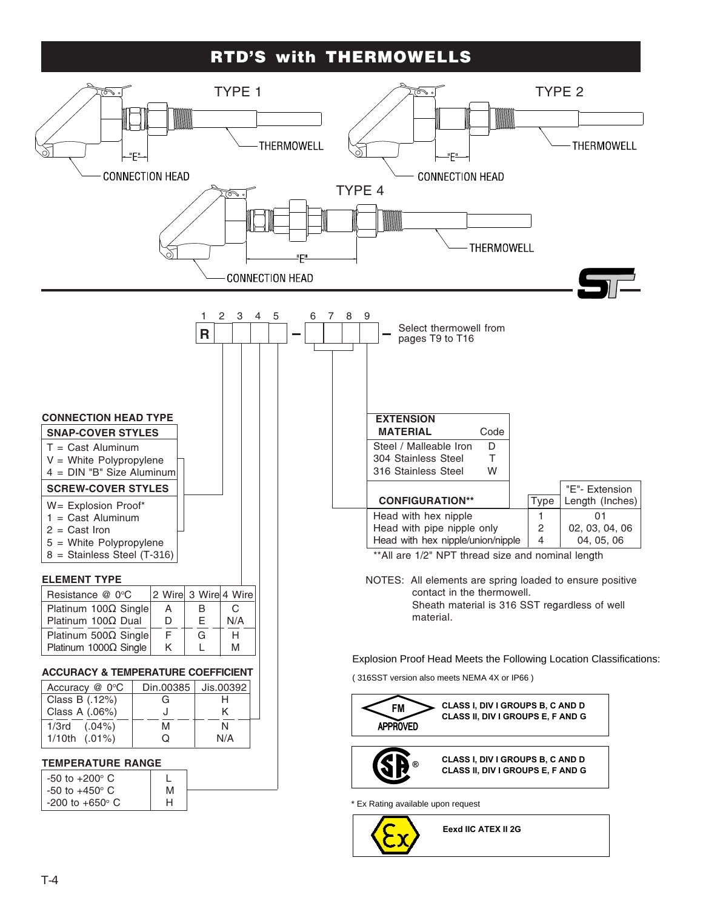#### RTD'S with THERMOWELLS

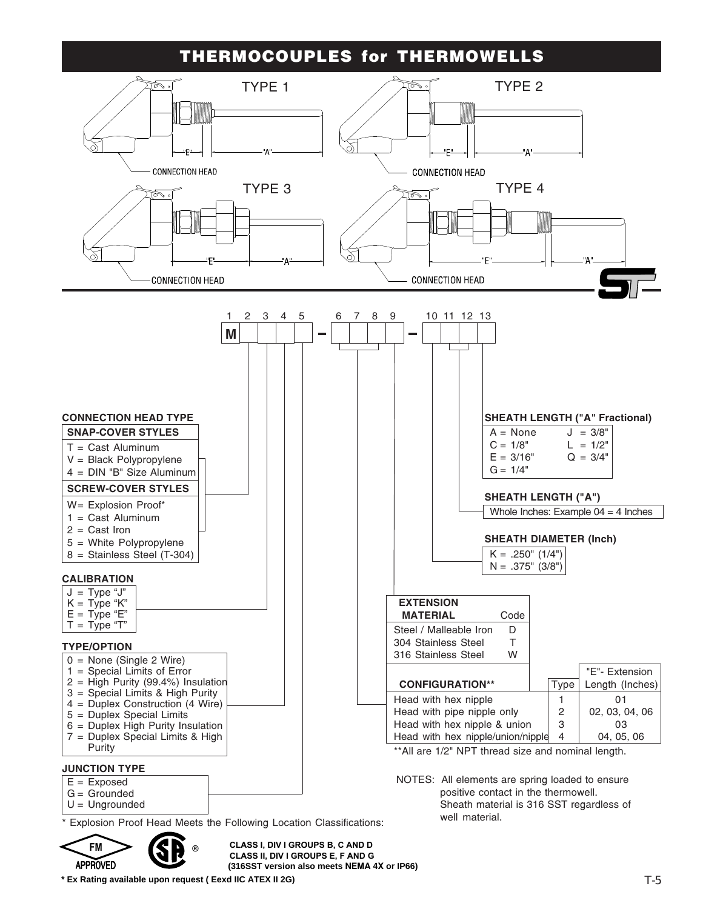#### THERMOCOUPLES for THERMOWELLS



 $\curvearrowright$   $\curvearrowright$  $<$  FM  $>$  1 ® **APPROVED** 

APPROVED CLASS II, DIV TUROUPS E, F AND US<br>
(316SST version also meets NEMA 4X or IP66) CLASS I, DIV I GROUPS B, C AND D CLASS II, DIV I GROUPS E, F AND G

**\* Ex Rating available upon request ( Eexd IIC ATEX II 2G)**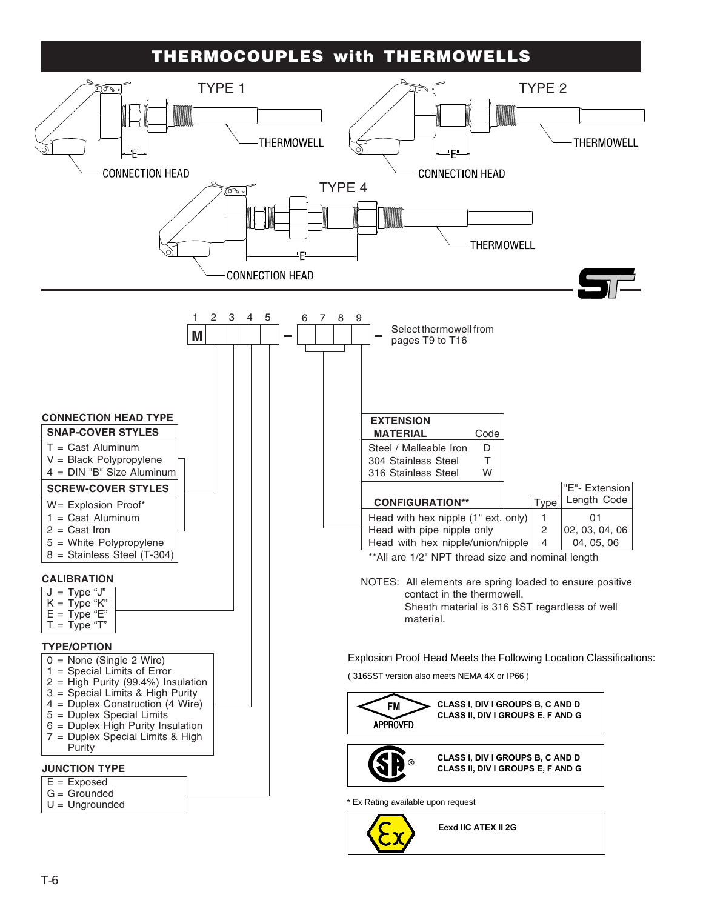#### THERMOCOUPLES with THERMOWELLS



Eexd IIC ATEX II 2G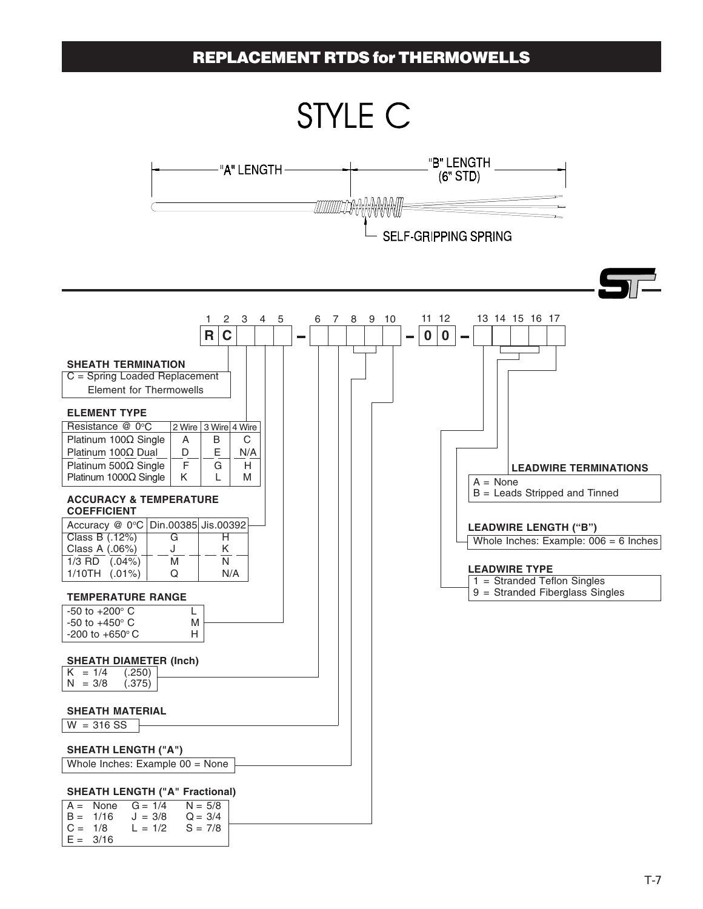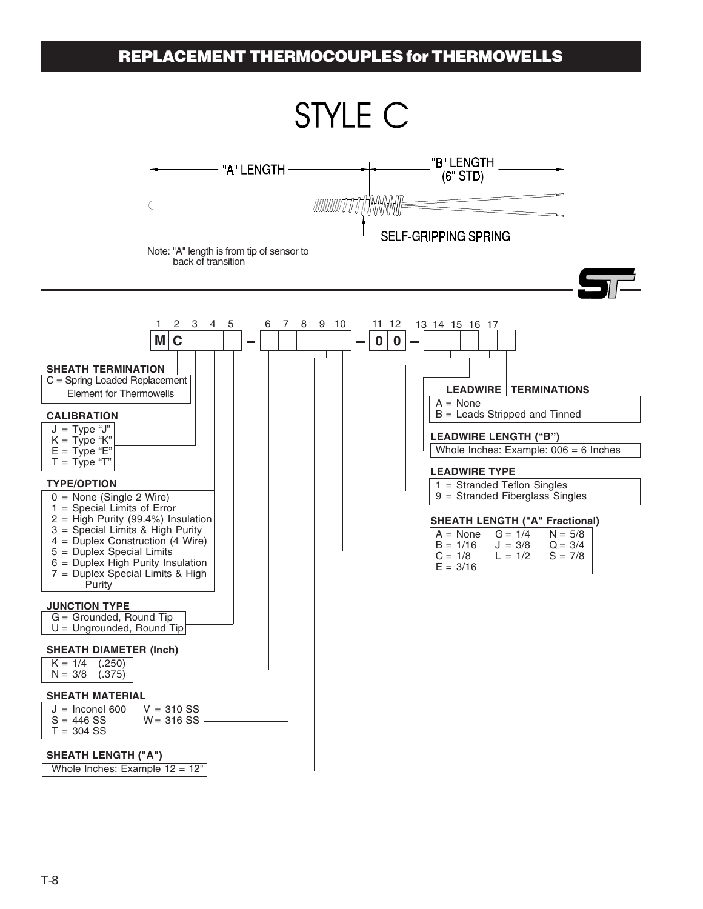#### REPLACEMENT THERMOCOUPLES for THERMOWELLS

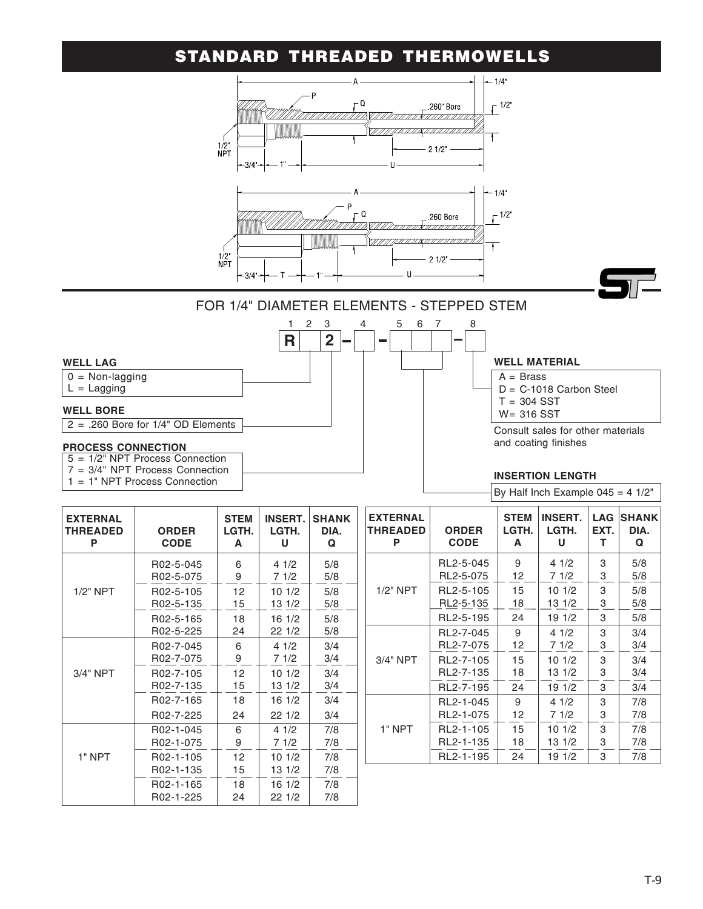## STANDARD THREADED THERMOWELLS



1 = 1" NPT Process Connection

By Half Inch Example  $045 = 4 \frac{1}{2}$ 

| <b>EXTERNAL</b><br><b>THREADED</b><br>Ρ | <b>ORDER</b><br><b>CODE</b> | <b>STEM</b><br>LGTH.<br>A | <b>INSERT.</b><br>LGTH.<br>U | <b>SHANK</b><br>DIA.<br>Q |
|-----------------------------------------|-----------------------------|---------------------------|------------------------------|---------------------------|
|                                         | R02-5-045                   | 6                         | 41/2                         | 5/8                       |
|                                         | R02-5-075                   | 9                         | 71/2                         | 5/8                       |
| $1/2$ " NPT                             | R02-5-105                   | 12                        | 101/2                        | 5/8                       |
|                                         | R02-5-135                   | 15                        | 13 1/2                       | 5/8                       |
|                                         | R02-5-165                   | 18                        | 16 1/2                       | 5/8                       |
|                                         | R02-5-225                   | 24                        | 22 1/2                       | 5/8                       |
|                                         | R02-7-045                   | 6                         | 41/2                         | 3/4                       |
|                                         | R02-7-075                   | 9                         | 71/2                         | 3/4                       |
| 3/4" NPT                                | R02-7-105                   | 12                        | 101/2                        | 3/4                       |
|                                         | R02-7-135                   | 15                        | 13 1/2                       | 3/4                       |
|                                         | R02-7-165                   | 18                        | 16 1/2                       | 3/4                       |
|                                         | R02-7-225                   | 24                        | 221/2                        | 3/4                       |
|                                         | R02-1-045                   | 6                         | 41/2                         | 7/8                       |
|                                         | R02-1-075                   | 9                         | 71/2                         | 7/8                       |
| 1" NPT                                  | R02-1-105                   | 12                        | 101/2                        | 7/8                       |
|                                         | R02-1-135                   | 15                        | 13 1/2                       | 7/8                       |
|                                         | R02-1-165                   | 18                        | 161/2                        | 7/8                       |
|                                         | R02-1-225                   | 24                        | 22 1/2                       | 7/8                       |

| <b>EXTERNAL</b><br>THREADED<br>Р | <b>ORDER</b><br><b>CODE</b> | <b>STEM</b><br>LGTH.<br>A | <b>INSERT.</b><br>LGTH.<br>U | <b>LAG</b><br>EXT.<br>т | <b>SHANK</b><br>DIA.<br>Q |
|----------------------------------|-----------------------------|---------------------------|------------------------------|-------------------------|---------------------------|
|                                  | RL2-5-045                   | 9                         | 41/2                         | 3                       | 5/8                       |
|                                  | RL2-5-075                   | 12                        | 71/2                         | 3                       | 5/8                       |
| $1/2"$ NPT                       | RL2-5-105                   | 15                        | 101/2                        | 3                       | 5/8                       |
|                                  | RL2-5-135                   | 18                        | 13 1/2                       | 3                       | 5/8                       |
|                                  | RL2-5-195                   | 24                        | 19 1/2                       | 3                       | 5/8                       |
|                                  | RL2-7-045                   | 9                         | 41/2                         | 3                       | 3/4                       |
|                                  | RL2-7-075                   | 12                        | 71/2                         | 3                       | 3/4                       |
| 3/4" NPT                         | RL2-7-105                   | 15                        | 101/2                        | 3                       | 3/4                       |
|                                  | RL2-7-135                   | 18                        | 13 1/2                       | 3                       | 3/4                       |
|                                  | RL2-7-195                   | 24                        | 19 1/2                       | 3                       | 3/4                       |
|                                  | RL2-1-045                   | 9                         | 41/2                         | 3                       | 7/8                       |
|                                  | RL2-1-075                   | 12                        | 71/2                         | 3                       | 7/8                       |
| 1" NPT                           | RL2-1-105                   | 15                        | 101/2                        | 3                       | 7/8                       |
|                                  | RL2-1-135                   | 18                        | 13 1/2                       | 3                       | 7/8                       |
|                                  | RL2-1-195                   | 24                        | 19 1/2                       | 3                       | 7/8                       |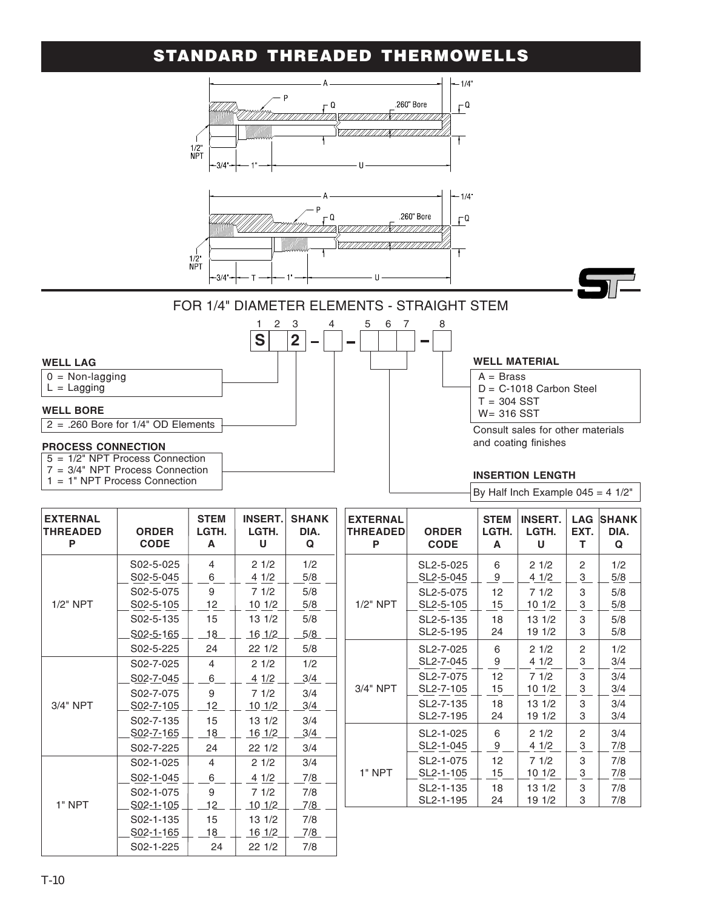## STANDARD THREADED THERMOWELLS



By Half Inch Example  $045 = 4 \frac{1}{2}$ "

| <b>EXTERNAL</b><br><b>THREADED</b><br>P | <b>STEM</b><br><b>INSERT.</b><br><b>ORDER</b><br>LGTH.<br>LGTH.<br><b>CODE</b><br>A<br>U |          | <b>SHANK</b><br>DIA.<br>Q |            |
|-----------------------------------------|------------------------------------------------------------------------------------------|----------|---------------------------|------------|
| $1/2"$ NPT                              | S <sub>0</sub> 2-5-025<br>S02-5-045                                                      | 4<br>6   | 21/2<br>4 1/2             | 1/2<br>5/8 |
|                                         | S02-5-075<br>S02-5-105                                                                   | 9<br>12  | 71/2<br>101/2             | 5/8<br>5/8 |
|                                         | S02-5-135                                                                                | 15       | 131/2                     | 5/8        |
|                                         | S02-5-165<br>S02-5-225                                                                   | 18<br>24 | $16 \frac{1}{2}$<br>221/2 | 5/8<br>5/8 |
|                                         | S02-7-025<br>S02-7-045                                                                   | 4<br>6   | 21/2<br>4 1/2             | 1/2<br>3/4 |
| $3/4"$ NPT                              | S02-7-075<br>S02-7-105                                                                   | 9<br>12  | 71/2<br>101/2             | 3/4<br>3/4 |
|                                         | S02-7-135<br>S02-7-165                                                                   | 15<br>18 | 131/2<br>16 1/2           | 3/4<br>3/4 |
|                                         | S02-7-225                                                                                | 24       | 221/2                     | 3/4        |
|                                         | S02-1-025<br>S02-1-045                                                                   | 4<br>6   | 21/2<br>41/2              | 3/4<br>7/8 |
| 1" NPT                                  | S <sub>0</sub> 2-1-075<br>S02-1-105                                                      | 9<br>12  | 71/2<br><u> 10 1/2 </u>   | 7/8<br>7/8 |
|                                         | S02-1-135<br>S02-1-165                                                                   | 15<br>18 | 131/2<br>16 1/2           | 7/8<br>7/8 |
|                                         | S02-1-225                                                                                | 24       | 221/2                     | 7/8        |

| <b>EXTERNAL</b><br>THREADED<br>P | <b>ORDER</b><br><b>CODE</b> | <b>STEM</b><br>LGTH.<br>A | <b>INSERT.</b><br>LGTH.<br>U | <b>LAG</b><br>EXT.<br>т | <b>SHANK</b><br>DIA.<br>Q |  |  |
|----------------------------------|-----------------------------|---------------------------|------------------------------|-------------------------|---------------------------|--|--|
|                                  | SL2-5-025                   | 6                         | 21/2                         | 2                       | 1/2                       |  |  |
|                                  | SL2-5-045                   | 9                         | 41/2                         | $\overline{3}$          | 5/8                       |  |  |
| $1/2"$ NPT                       | SL2-5-075                   | 12                        | 71/2                         | 3                       | 5/8                       |  |  |
|                                  | SL2-5-105                   | 15                        | 10 1/2                       | 3                       | 5/8                       |  |  |
|                                  | SL2-5-135                   | 18                        | 131/2                        | 3                       | 5/8                       |  |  |
|                                  | SL2-5-195                   | 24                        | 19 1/2                       | 3                       | 5/8                       |  |  |
|                                  | SL2-7-025                   | 6                         | 21/2                         | 2                       | 1/2                       |  |  |
|                                  | SL2-7-045                   | 9                         | 41/2                         | 3                       | 3/4                       |  |  |
| 3/4" NPT                         | SL2-7-075                   | 12                        | 71/2                         | 3                       | 3/4                       |  |  |
|                                  | SL2-7-105                   | 15                        | 10 1/2                       | 3                       | 3/4                       |  |  |
|                                  | SL2-7-135                   | 18                        | 131/2                        | 3                       | 3/4                       |  |  |
|                                  | SL2-7-195                   | 24                        | 19 1/2                       | 3                       | 3/4                       |  |  |
| 1" NPT                           | SL2-1-025<br>SL2-1-045      | 6<br>9                    | 21/2<br>4 1/2                | 2<br>3                  | 3/4<br>7/8                |  |  |
|                                  | SL2-1-075<br>SL2-1-105      | 12<br>15                  | 71/2<br>101/2                | 3<br>3                  | 7/8<br>7/8                |  |  |
|                                  | SL2-1-135                   | 18                        | 13 1/2                       | 3                       | 7/8                       |  |  |
|                                  | SL <sub>2</sub> -1-195      | 24                        | 19 1/2                       | 3                       | 7/8                       |  |  |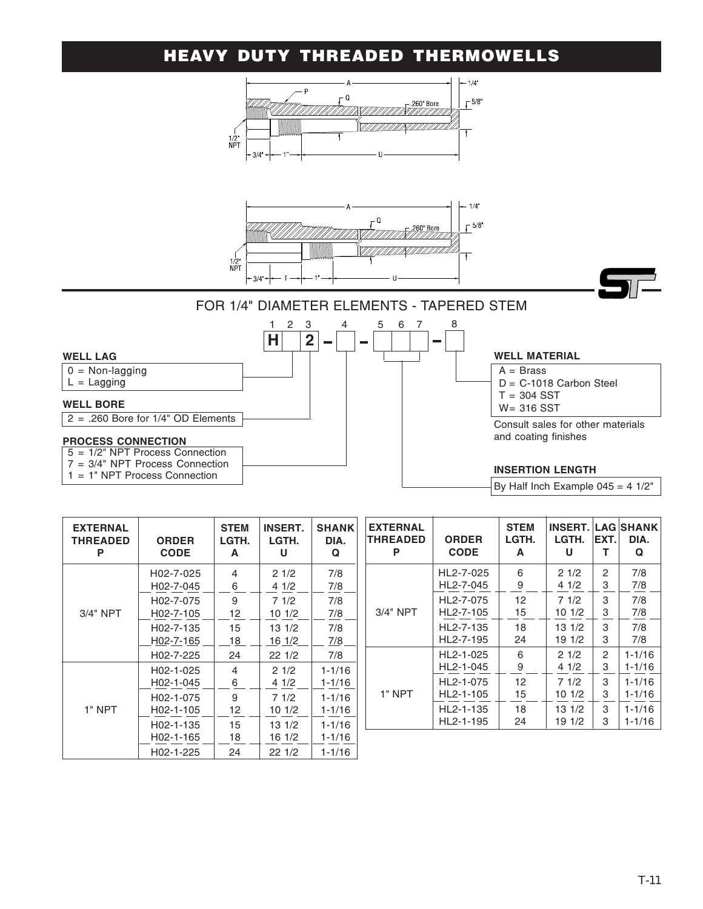## HEAVY DUTY THREADED THERMOWELLS



| <b>EXTERNAL</b><br><b>THREADED</b><br>P | <b>ORDER</b><br><b>CODE</b> | <b>STEM</b><br>LGTH.<br>A | <b>INSERT.</b><br>LGTH.<br>U | <b>SHANK</b><br>DIA.<br>Q |
|-----------------------------------------|-----------------------------|---------------------------|------------------------------|---------------------------|
|                                         | H02-7-025                   | 4                         | 21/2                         | 7/8                       |
|                                         | H02-7-045                   | 6                         | 41/2                         | 7/8                       |
| $3/4"$ NPT                              | H02-7-075                   | 9                         | 71/2                         | 7/8                       |
|                                         | H02-7-105                   | 12                        | 101/2                        | 7/8                       |
|                                         | H02-7-135                   | 15                        | $13 \frac{1}{2}$             | 7/8                       |
|                                         | H02-7-165                   | 18                        | 16 1/2                       | 7/8                       |
|                                         | H02-7-225                   | 24                        | 221/2                        | 7/8                       |
|                                         | H02-1-025                   | 4                         | 21/2                         | $1 - 1/16$                |
|                                         | H02-1-045                   | 6                         | 4 1/2                        | 1-1/16                    |
| 1" NPT                                  | H02-1-075                   | 9                         | 71/2                         | $1 - 1/16$                |
|                                         | H02-1-105                   | 12                        | 101/2                        | 1-1/16                    |
|                                         | H02-1-135                   | 15                        | $13 \frac{1}{2}$             | $1 - 1/16$                |
|                                         | H02-1-165                   | 18                        | 16 1/2                       | 1-1/16                    |
|                                         | H02-1-225                   | 24                        | 221/2                        | $1 - 1/16$                |

| <b>EXTERNAL</b><br><b>THREADED</b><br>Ρ | <b>ORDER</b><br><b>CODE</b> | <b>STEM</b><br>LGTH.<br>A | <b>INSERT. LAG SHANK</b><br>LGTH.<br>U | EXT.<br>т      | DIA.<br>Q  |
|-----------------------------------------|-----------------------------|---------------------------|----------------------------------------|----------------|------------|
|                                         | HL2-7-025                   | 6                         | 21/2                                   | 2              | 7/8        |
|                                         | HL2-7-045                   | 9                         | 41/2                                   | 3              | 7/8        |
| $3/4"$ NPT                              | HL2-7-075                   | 12                        | 71/2                                   | 3              | 7/8        |
|                                         | HL2-7-105                   | 15                        | 101/2                                  | 3              | 7/8        |
|                                         | HL2-7-135                   | 18                        | 13 1/2                                 | 3              | 7/8        |
|                                         | HL2-7-195                   | 24                        | 19 1/2                                 | 3              | 7/8        |
|                                         | HL2-1-025                   | 6                         | 21/2                                   | $\overline{c}$ | $1 - 1/16$ |
|                                         | HL2-1-045                   | 9                         | 41/2                                   | 3              | $1 - 1/16$ |
| 1" NPT                                  | HL2-1-075                   | 12                        | 71/2                                   | 3              | $1 - 1/16$ |
|                                         | HL2-1-105                   | 15                        | 101/2                                  | 3              | $1 - 1/16$ |
|                                         | HL2-1-135                   | 18                        | 13 1/2                                 | 3              | $1 - 1/16$ |
|                                         | HL2-1-195                   | 24                        | 19 1/2                                 | 3              | $1 - 1/16$ |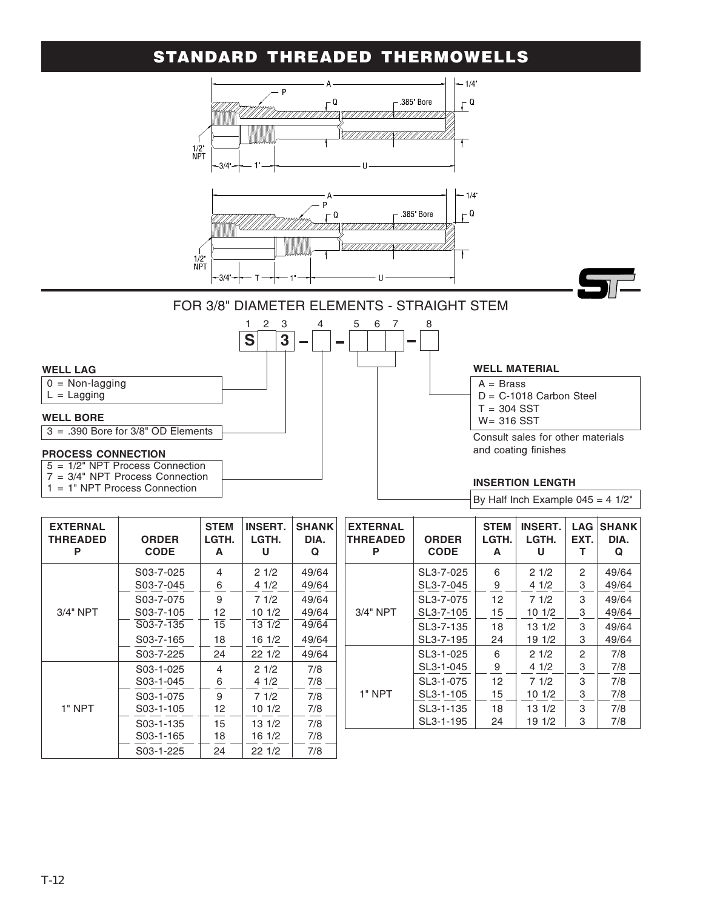#### STANDARD THREADED THERMOWELLS



| <b>EXTERNAL</b><br><b>THREADED</b><br>Р | <b>ORDER</b><br><b>CODE</b> | <b>STEM</b><br>LGTH.<br>A | <b>INSERT.</b><br>LGTH.<br>U | <b>SHANK</b><br>DIA.<br>Q |
|-----------------------------------------|-----------------------------|---------------------------|------------------------------|---------------------------|
|                                         | S03-7-025<br>S03-7-045      | 4<br>6                    | 21/2<br>41/2                 | 49/64<br>49/64            |
| 3/4" NPT                                | S03-7-075<br>S03-7-105      | 9<br>12                   | 71/2<br>101/2                | 49/64<br>49/64            |
|                                         | S03-7-135<br>S03-7-165      | 15<br>18                  | 13 1/2<br>16 1/2             | 49/64<br>49/64            |
|                                         | S03-7-225                   | 24                        | 221/2                        | 49/64                     |
| 1" NPT                                  | S03-1-025<br>S03-1-045      | 4<br>6                    | 21/2<br>41/2                 | 7/8<br>7/8                |
|                                         | S03-1-075<br>S03-1-105      | 9<br>12                   | 71/2<br>101/2                | 7/8<br>7/8                |
|                                         | S03-1-135<br>S03-1-165      | 15<br>18                  | 13 1/2<br>16 1/2             | 7/8<br>7/8                |
|                                         | S03-1-225                   | 24                        | 22 1/2                       | 7/8                       |

| <b>EXTERNAL</b><br>THREADED<br>Р | <b>ORDER</b><br><b>CODE</b> | <b>STEM</b><br>LGTH.<br>A | <b>INSERT.</b><br>LGTH.<br>U | <b>LAG</b><br>EXT.<br>т | <b>SHANK</b><br>DIA.<br>Q |
|----------------------------------|-----------------------------|---------------------------|------------------------------|-------------------------|---------------------------|
|                                  | SL3-7-025                   | 6                         | 21/2                         | 2                       | 49/64                     |
|                                  | SL3-7-045                   | 9                         | 41/2                         | 3                       | 49/64                     |
| $3/4"$ NPT                       | SL3-7-075                   | 12                        | 71/2                         | 3                       | 49/64                     |
|                                  | SL3-7-105                   | 15                        | 101/2                        | 3                       | 49/64                     |
|                                  | SL3-7-135                   | 18                        | 131/2                        | 3                       | 49/64                     |
|                                  | SL3-7-195                   | 24                        | 191/2                        | 3                       | 49/64                     |
|                                  | SL3-1-025                   | 6                         | 21/2                         | 2                       | 7/8                       |
|                                  | SL3-1-045                   | 9                         | 4 1/2                        | 3                       | 7/8                       |
| 1" NPT                           | SL3-1-075                   | 12                        | 71/2                         | 3                       | 7/8                       |
|                                  | SL3-1-105                   | 15                        | 101/2                        | 3                       | 7/8                       |
|                                  | SL3-1-135                   | 18                        | 131/2                        | 3                       | 7/8                       |
|                                  | SL3-1-195                   | 24                        | 19 1/2                       | 3                       | 7/8                       |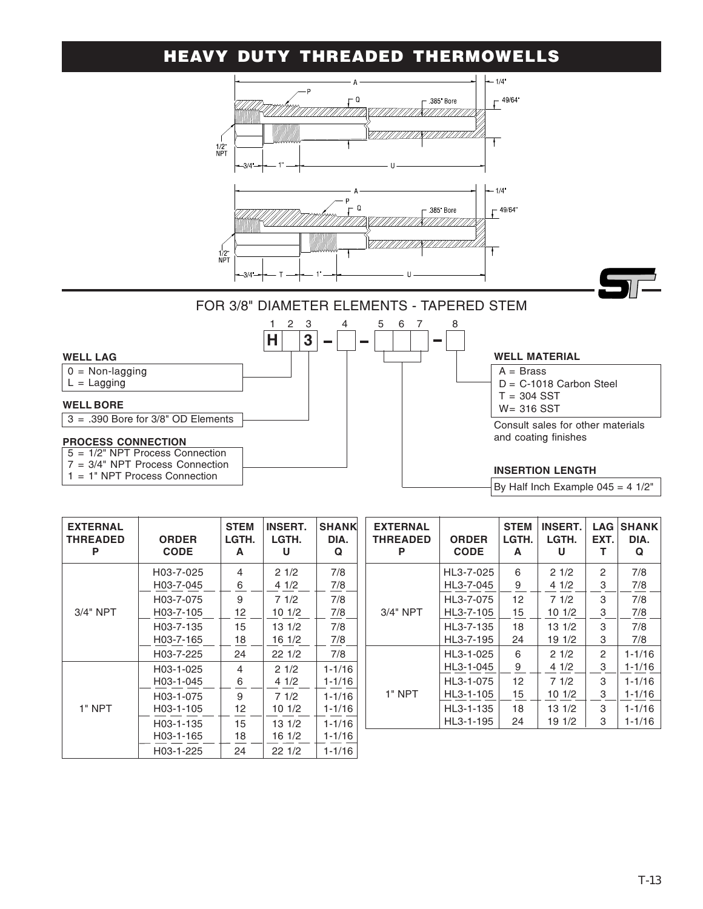## HEAVY DUTY THREADED THERMOWELLS

![](_page_12_Figure_1.jpeg)

|  | By Half Inch Example $045 = 4$ 1/2" |  |  |
|--|-------------------------------------|--|--|
|  |                                     |  |  |

| <b>EXTERNAL</b><br>THREADED<br>P | <b>ORDER</b><br><b>CODE</b> | <b>STEM</b><br>LGTH.<br>A | <b>INSERT.</b><br>LGTH.<br>U | <b>SHANK</b><br>DIA.<br>Q |
|----------------------------------|-----------------------------|---------------------------|------------------------------|---------------------------|
|                                  | H03-7-025<br>H03-7-045      | 4<br>6                    | 21/2<br>4 1/2                | 7/8<br>7/8                |
| 3/4" NPT                         | H03-7-075<br>H03-7-105      | 9<br>12                   | 71/2<br>10 1/2               | 7/8<br>7/8                |
|                                  | H03-7-135<br>H03-7-165      | 15<br>18                  | 131/2<br>16 1/2              | 7/8<br>7/8                |
|                                  | H03-7-225                   | 24                        | 221/2                        | 7/8                       |
| 1" NPT                           | H03-1-025<br>H03-1-045      | 4<br>6                    | 21/2<br>41/2                 | $1 - 1/16$<br>$1 - 1/16$  |
|                                  | H03-1-075<br>H03-1-105      | 9<br>12                   | 71/2<br>10 1/2               | $1 - 1/16$<br>$1 - 1/16$  |
|                                  | H03-1-135<br>H03-1-165      | 15<br>18                  | $13 \frac{1}{2}$<br>16 1/2   | $1 - 1/16$<br>$1 - 1/16$  |
|                                  | H03-1-225                   | 24                        | 22 1/2                       | 1-1/16                    |

| <b>EXTERNAL</b><br><b>THREADED</b><br>P | <b>ORDER</b><br><b>CODE</b> | <b>STEM</b><br>LGTH.<br>A | <b>INSERT.</b><br>LGTH.<br>U | <b>LAG</b><br>EXT.<br>т | <b>SHANK</b><br>DIA.<br>Q |
|-----------------------------------------|-----------------------------|---------------------------|------------------------------|-------------------------|---------------------------|
|                                         | HL3-7-025                   | 6                         | 21/2                         | 2                       | 7/8                       |
|                                         | HL3-7-045                   | 9                         | 41/2                         | 3                       | 7/8                       |
|                                         | HL3-7-075                   | 12                        | 71/2                         | 3                       | 7/8                       |
| $3/4"$ NPT                              | HL3-7-105                   | 15                        | 10 1/2                       | 3                       | 7/8                       |
|                                         | HL3-7-135                   | 18                        | 13 1/2                       | 3                       | 7/8                       |
|                                         | HL3-7-195                   | 24                        | 19 1/2                       | 3                       | 7/8                       |
|                                         | HL3-1-025                   | 6                         | 21/2                         | 2                       | $1 - 1/16$                |
|                                         | HL3-1-045                   | 9                         | 41/2                         | 3                       | 1-1/16                    |
|                                         | HL3-1-075                   | 12 <sup>2</sup>           | 71/2                         | 3                       | $1 - 1/16$                |
| 1" NPT                                  | HL3-1-105                   | 15                        | 101/2                        | 3                       | $1 - 1/16$                |
|                                         | HL3-1-135                   | 18                        | 13 1/2                       | 3                       | $1 - 1/16$                |
|                                         | HL3-1-195                   | 24                        | 19 1/2                       | 3                       | $1 - 1/16$                |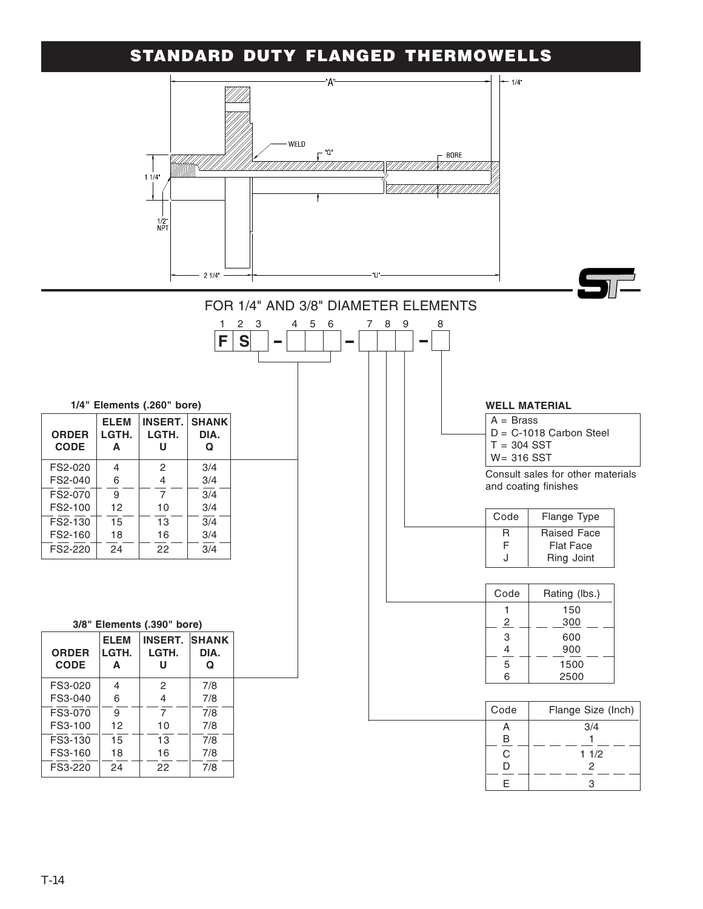### STANDARD DUTY FLANGED THERMOWELLS

![](_page_13_Figure_1.jpeg)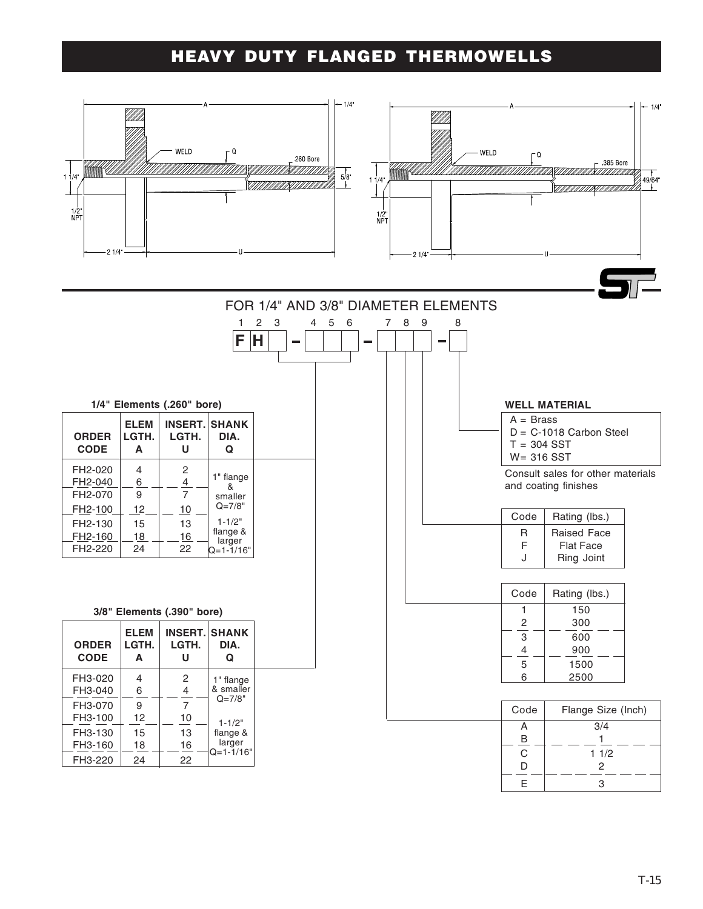## HEAVY DUTY FLANGED THERMOWELLS

![](_page_14_Figure_1.jpeg)